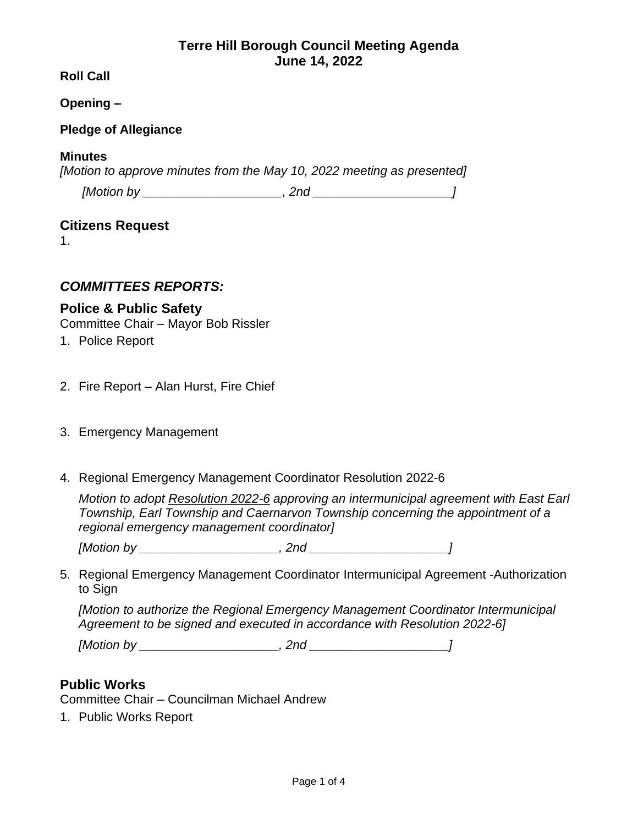# **Terre Hill Borough Council Meeting Agenda June 14, 2022**

**Roll Call**

**Opening –**

### **Pledge of Allegiance**

#### **Minutes**

*[Motion to approve minutes from the May 10, 2022 meeting as presented]*

| [Motion by | 'nd |
|------------|-----|
|            |     |

### **Citizens Request**

1.

# *COMMITTEES REPORTS:*

# **Police & Public Safety**

Committee Chair – Mayor Bob Rissler

- 1. Police Report
- 2. Fire Report Alan Hurst, Fire Chief
- 3. Emergency Management
- 4. Regional Emergency Management Coordinator Resolution 2022-6

*Motion to adopt Resolution 2022-6 approving an intermunicipal agreement with East Earl Township, Earl Township and Caernarvon Township concerning the appointment of a regional emergency management coordinator]*

*[Motion by \_\_\_\_\_\_\_\_\_\_\_\_\_\_\_\_\_\_\_\_, 2nd \_\_\_\_\_\_\_\_\_\_\_\_\_\_\_\_\_\_\_\_]*

5. Regional Emergency Management Coordinator Intermunicipal Agreement -Authorization to Sign

*[Motion to authorize the Regional Emergency Management Coordinator Intermunicipal Agreement to be signed and executed in accordance with Resolution 2022-6]*

*[Motion by \_\_\_\_\_\_\_\_\_\_\_\_\_\_\_\_\_\_\_\_, 2nd \_\_\_\_\_\_\_\_\_\_\_\_\_\_\_\_\_\_\_\_]*

# **Public Works**

Committee Chair – Councilman Michael Andrew

1. Public Works Report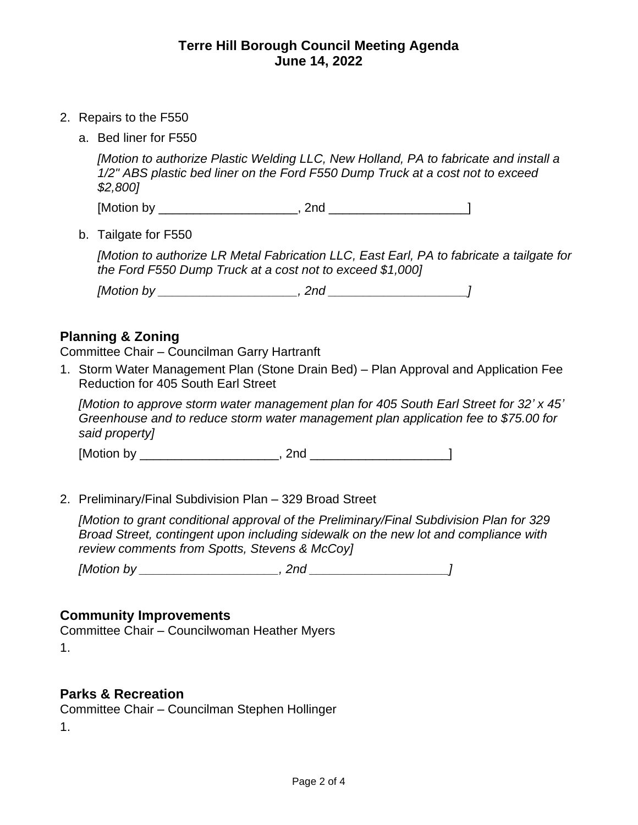- 2. Repairs to the F550
	- a. Bed liner for F550

*[Motion to authorize Plastic Welding LLC, New Holland, PA to fabricate and install a 1/2" ABS plastic bed liner on the Ford F550 Dump Truck at a cost not to exceed \$2,800]*

[Motion by \_\_\_\_\_\_\_\_\_\_\_\_\_\_\_\_\_\_\_\_, 2nd \_\_\_\_\_\_\_\_\_\_\_\_\_\_\_\_\_\_\_\_]

b. Tailgate for F550

*[Motion to authorize LR Metal Fabrication LLC, East Earl, PA to fabricate a tailgate for the Ford F550 Dump Truck at a cost not to exceed \$1,000]*

| [Motion by | 'nn |  |
|------------|-----|--|
|------------|-----|--|

### **Planning & Zoning**

Committee Chair – Councilman Garry Hartranft

1. Storm Water Management Plan (Stone Drain Bed) – Plan Approval and Application Fee Reduction for 405 South Earl Street

*[Motion to approve storm water management plan for 405 South Earl Street for 32' x 45' Greenhouse and to reduce storm water management plan application fee to \$75.00 for said property]* 

 $[Motion by$   $, 2nd$ 

2. Preliminary/Final Subdivision Plan – 329 Broad Street

*[Motion to grant conditional approval of the Preliminary/Final Subdivision Plan for 329 Broad Street, contingent upon including sidewalk on the new lot and compliance with review comments from Spotts, Stevens & McCoy]*

*[Motion by \_\_\_\_\_\_\_\_\_\_\_\_\_\_\_\_\_\_\_\_, 2nd \_\_\_\_\_\_\_\_\_\_\_\_\_\_\_\_\_\_\_\_]*

#### **Community Improvements**

Committee Chair – Councilwoman Heather Myers 1.

#### **Parks & Recreation**

Committee Chair – Councilman Stephen Hollinger

1.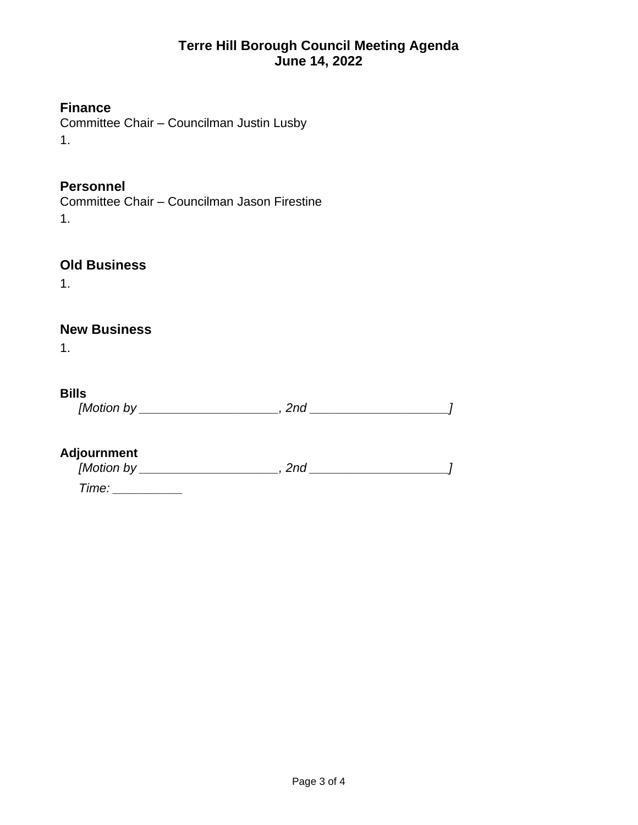# **Terre Hill Borough Council Meeting Agenda June 14, 2022**

## **Finance**

Committee Chair – Councilman Justin Lusby 1.

## **Personnel**

Committee Chair – Councilman Jason Firestine 1.

# **Old Business**

1.

# **New Business**

1.

### **Bills**

*[Motion by \_\_\_\_\_\_\_\_\_\_\_\_\_\_\_\_\_\_\_\_, 2nd \_\_\_\_\_\_\_\_\_\_\_\_\_\_\_\_\_\_\_\_]*

## **Adjournment**

| [Motion by | /nr |  |
|------------|-----|--|
|            |     |  |

*Time: \_\_\_\_\_\_\_\_\_\_*